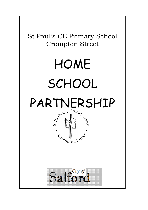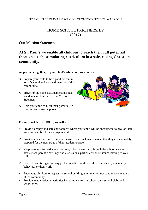## ST PAUL'S CE PRIMARY SCHOOL, CROMPTON STREET, WALKDEN

# HOME SCHOOL PARTNERSHIP (2017)

# Our Mission Statement

# **At St. Paul's we enable all children to reach their full potential through a rich, stimulating curriculum in a safe, caring Christian community.**

#### **As partners together, in your child's education, we aim to:-**

- $\triangle$  Prepare your child to be a good citizen in today's world and a valued member of the community.
- Strive for the highest academic and social standards as identified in our Mission **Statement**
- $\triangleleft$  Help your child to fulfil their potential, in sporting and creative pursuits



### **For our part AT SCHOOL, we will:-**

- $\checkmark$  Provide a happy and safe environment where your child will be encouraged to give of their very best and fulfil their true potential
- $\checkmark$  Provide a balanced curriculum and sense of spiritual awareness so that they are adequately prepared for the next stage of their academic career
- $\checkmark$  Keep parents informed about progress, school events etc, through the school website, newsletters, parent's evenings and discussions, particularly about issues relating to your child
- $\checkmark$  Contact parents regarding any problems affecting their child's attendance, punctuality, behaviour or their work.
- $\checkmark$  Encourage children to respect the school building, their environment and other members of the community.
- $\checkmark$  Provide extra curricular activities including visitors in school, after school clubs and school trips.

*Signed …………………………………………………… (Headteacher)*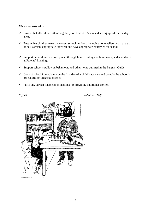### **We as parents will:-**

- $\checkmark$  Ensure that all children attend regularly, on time at 8.55am and are equipped for the day ahead
- $\checkmark$  Ensure that children wear the correct school uniform, including no jewellery, no make up or nail varnish, appropriate footwear and have appropriate hairstyles for school
- $\checkmark$  Support our children's development through home reading and homework, and attendance at Parents' Evenings
- $\checkmark$  Support school's policy on behaviour, and other items outlined in the Parents' Guide
- $\checkmark$  Contact school immediately on the first day of a child's absence and comply the school's procedures on sickness absence
- $\checkmark$  Fulfil any agreed, financial obligations for providing additional services

*Signed ……………………………………………………… (Mum or Dad)*